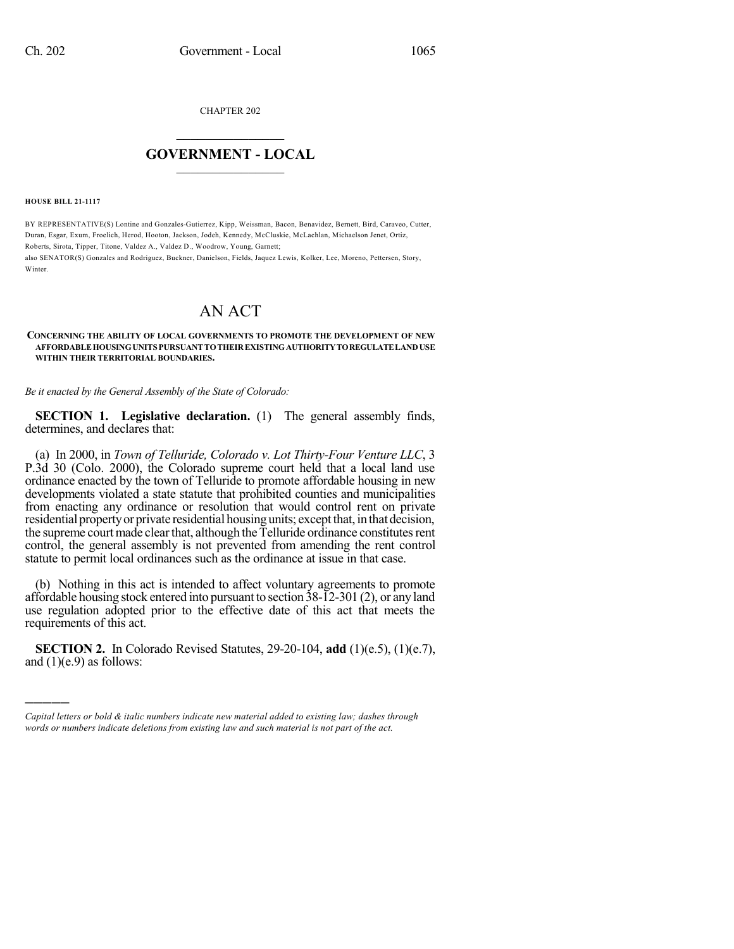CHAPTER 202

## $\mathcal{L}_\text{max}$  . The set of the set of the set of the set of the set of the set of the set of the set of the set of the set of the set of the set of the set of the set of the set of the set of the set of the set of the set **GOVERNMENT - LOCAL**  $\_$

**HOUSE BILL 21-1117**

)))))

BY REPRESENTATIVE(S) Lontine and Gonzales-Gutierrez, Kipp, Weissman, Bacon, Benavidez, Bernett, Bird, Caraveo, Cutter, Duran, Esgar, Exum, Froelich, Herod, Hooton, Jackson, Jodeh, Kennedy, McCluskie, McLachlan, Michaelson Jenet, Ortiz, Roberts, Sirota, Tipper, Titone, Valdez A., Valdez D., Woodrow, Young, Garnett; also SENATOR(S) Gonzales and Rodriguez, Buckner, Danielson, Fields, Jaquez Lewis, Kolker, Lee, Moreno, Pettersen, Story, Winter

## AN ACT

## **CONCERNING THE ABILITY OF LOCAL GOVERNMENTS TO PROMOTE THE DEVELOPMENT OF NEW AFFORDABLEHOUSINGUNITS PURSUANTTOTHEIREXISTINGAUTHORITYTOREGULATELANDUSE WITHIN THEIR TERRITORIAL BOUNDARIES.**

*Be it enacted by the General Assembly of the State of Colorado:*

**SECTION 1. Legislative declaration.** (1) The general assembly finds, determines, and declares that:

(a) In 2000, in *Town of Telluride, Colorado v. Lot Thirty-Four Venture LLC*, 3 P.3d 30 (Colo. 2000), the Colorado supreme court held that a local land use ordinance enacted by the town of Telluride to promote affordable housing in new developments violated a state statute that prohibited counties and municipalities from enacting any ordinance or resolution that would control rent on private residential property or private residential housing units; except that, in that decision, the supreme court made clear that, although the Telluride ordinance constitutes rent control, the general assembly is not prevented from amending the rent control statute to permit local ordinances such as the ordinance at issue in that case.

(b) Nothing in this act is intended to affect voluntary agreements to promote affordable housing stock entered into pursuant to section 38-12-301 (2), or any land use regulation adopted prior to the effective date of this act that meets the requirements of this act.

**SECTION 2.** In Colorado Revised Statutes, 29-20-104, **add** (1)(e.5), (1)(e.7), and  $(1)(e.9)$  as follows:

*Capital letters or bold & italic numbers indicate new material added to existing law; dashes through words or numbers indicate deletions from existing law and such material is not part of the act.*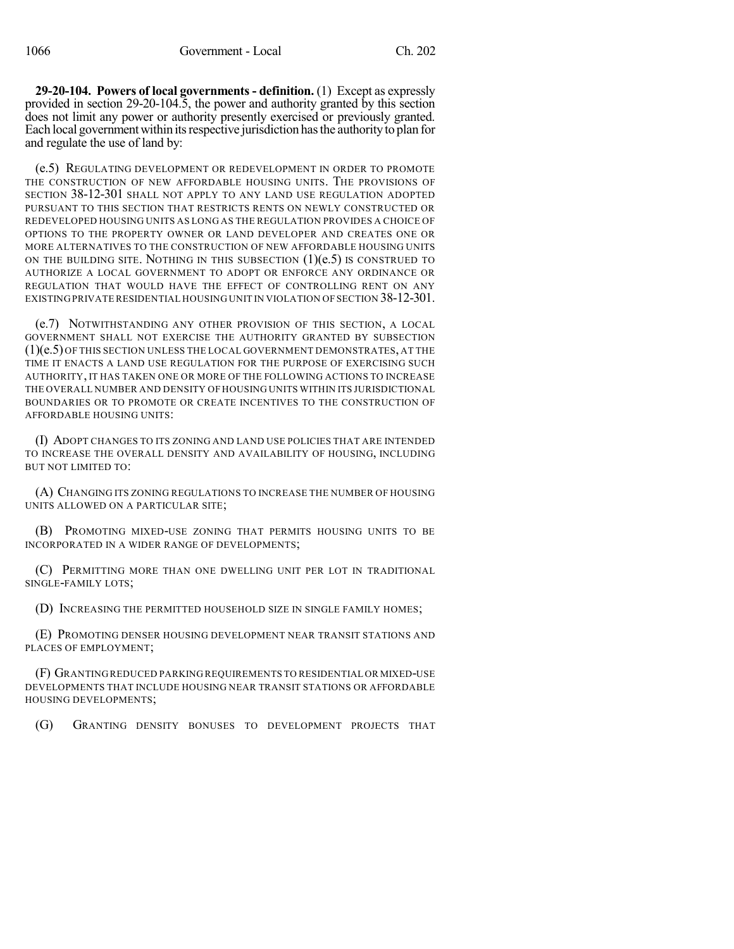**29-20-104. Powers of local governments - definition.** (1) Except as expressly provided in section 29-20-104.5, the power and authority granted by this section does not limit any power or authority presently exercised or previously granted. Each local government within its respective jurisdiction has the authority to plan for and regulate the use of land by:

(e.5) REGULATING DEVELOPMENT OR REDEVELOPMENT IN ORDER TO PROMOTE THE CONSTRUCTION OF NEW AFFORDABLE HOUSING UNITS. THE PROVISIONS OF SECTION 38-12-301 SHALL NOT APPLY TO ANY LAND USE REGULATION ADOPTED PURSUANT TO THIS SECTION THAT RESTRICTS RENTS ON NEWLY CONSTRUCTED OR REDEVELOPED HOUSING UNITS AS LONG AS THE REGULATION PROVIDES A CHOICE OF OPTIONS TO THE PROPERTY OWNER OR LAND DEVELOPER AND CREATES ONE OR MORE ALTERNATIVES TO THE CONSTRUCTION OF NEW AFFORDABLE HOUSING UNITS ON THE BUILDING SITE. NOTHING IN THIS SUBSECTION  $(1)(e.5)$  is construed to AUTHORIZE A LOCAL GOVERNMENT TO ADOPT OR ENFORCE ANY ORDINANCE OR REGULATION THAT WOULD HAVE THE EFFECT OF CONTROLLING RENT ON ANY EXISTING PRIVATE RESIDENTIAL HOUSING UNIT IN VIOLATION OF SECTION 38-12-301.

(e.7) NOTWITHSTANDING ANY OTHER PROVISION OF THIS SECTION, A LOCAL GOVERNMENT SHALL NOT EXERCISE THE AUTHORITY GRANTED BY SUBSECTION (1)(e.5) OF THIS SECTION UNLESS THE LOCAL GOVERNMENT DEMONSTRATES, AT THE TIME IT ENACTS A LAND USE REGULATION FOR THE PURPOSE OF EXERCISING SUCH AUTHORITY, IT HAS TAKEN ONE OR MORE OF THE FOLLOWING ACTIONS TO INCREASE THE OVERALL NUMBER AND DENSITY OF HOUSING UNITS WITHIN ITS JURISDICTIONAL BOUNDARIES OR TO PROMOTE OR CREATE INCENTIVES TO THE CONSTRUCTION OF AFFORDABLE HOUSING UNITS:

(I) ADOPT CHANGES TO ITS ZONING AND LAND USE POLICIES THAT ARE INTENDED TO INCREASE THE OVERALL DENSITY AND AVAILABILITY OF HOUSING, INCLUDING BUT NOT LIMITED TO:

(A) CHANGING ITS ZONING REGULATIONS TO INCREASE THE NUMBER OF HOUSING UNITS ALLOWED ON A PARTICULAR SITE;

(B) PROMOTING MIXED-USE ZONING THAT PERMITS HOUSING UNITS TO BE INCORPORATED IN A WIDER RANGE OF DEVELOPMENTS;

(C) PERMITTING MORE THAN ONE DWELLING UNIT PER LOT IN TRADITIONAL SINGLE-FAMILY LOTS;

(D) INCREASING THE PERMITTED HOUSEHOLD SIZE IN SINGLE FAMILY HOMES;

(E) PROMOTING DENSER HOUSING DEVELOPMENT NEAR TRANSIT STATIONS AND PLACES OF EMPLOYMENT;

(F) GRANTINGREDUCED PARKING REQUIREMENTS TO RESIDENTIAL OR MIXED-USE DEVELOPMENTS THAT INCLUDE HOUSING NEAR TRANSIT STATIONS OR AFFORDABLE HOUSING DEVELOPMENTS;

(G) GRANTING DENSITY BONUSES TO DEVELOPMENT PROJECTS THAT